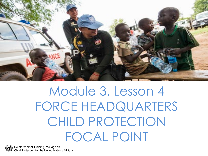

## Module 3, Lesson 4 FORCE HEADQUARTERS CHILD PROTECTION FOCAL POINT

Reinforcement Training Package on Child Protection for the United Nations Military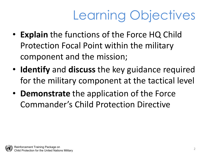# Learning Objectives

- **Explain** the functions of the Force HQ Child Protection Focal Point within the military component and the mission;
- **Identify** and **discuss** the key guidance required for the military component at the tactical level
- **Demonstrate** the application of the Force Commander's Child Protection Directive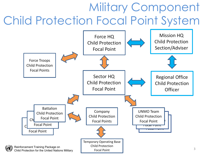### Military Component Child Protection Focal Point System

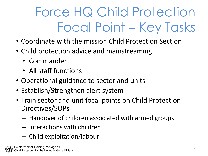# Force HQ Child Protection Focal Point − Key Tasks

- Coordinate with the mission Child Protection Section
- Child protection advice and mainstreaming
	- Commander
	- All staff functions
- Operational guidance to sector and units
- Establish/Strengthen alert system
- Train sector and unit focal points on Child Protection Directives/SOPs
	- Handover of children associated with armed groups
	- Interactions with children
	- Child exploitation/labour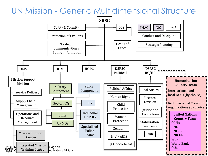#### UN Mission - Generic Multidimensional Structure

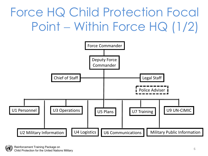## Force HQ Child Protection Focal Point − Within Force HQ (1/2)



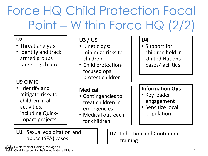## Force HQ Child Protection Focal Point − Within Force HQ (2/2)

#### **U2**

- Threat analysis
- Identify and track armed groups targeting children

#### **U9 CIMIC**

• Identify and mitigate risks to children in all activities, including Quickimpact projects

#### **U3 / U5**

- Kinetic ops: minimize risks to children
- Child protectionfocused ops: protect children

#### **U4**

• Support for children held in United Nations bases/facilities

#### **Medical**

- Contingencies to treat children in emergencies
- Medical outreach for children

#### **Information Ops**

- Key leader engagement
- Sensitize local population

**U1** Sexual exploitation and abuse (SEA) cases

**U7** Induction and Continuous training

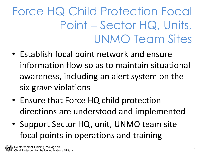### Force HQ Child Protection Focal Point – Sector HQ, Units, UNMO Team Sites

- Establish focal point network and ensure information flow so as to maintain situational awareness, including an alert system on the six grave violations
- Ensure that Force HQ child protection directions are understood and implemented
- Support Sector HQ, unit, UNMO team site focal points in operations and training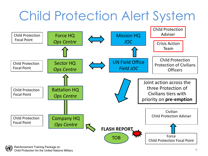# Child Protection Alert System

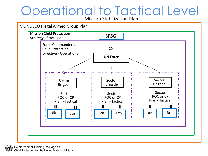# Operational to Tactical Level

Mission Stabilization Plan



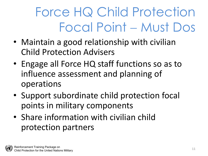# Force HQ Child Protection Focal Point − Must Dos

- Maintain a good relationship with civilian Child Protection Advisers
- Engage all Force HQ staff functions so as to influence assessment and planning of operations
- Support subordinate child protection focal points in military components
- Share information with civilian child protection partners

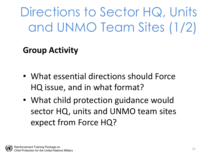Directions to Sector HQ, Units and UNMO Team Sites (1/2)

#### **Group Activity**

- What essential directions should Force HQ issue, and in what format?
- What child protection guidance would sector HQ, units and UNMO team sites expect from Force HQ?

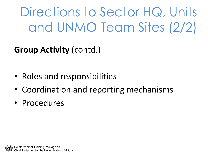Directions to Sector HQ, Units and UNMO Team Sites (2/2)

**Group Activity** (contd.)

- Roles and responsibilities
- Coordination and reporting mechanisms
- Procedures

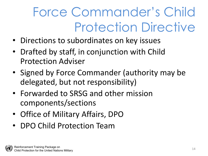# Force Commander's Child Protection Directive

- Directions to subordinates on key issues
- Drafted by staff, in conjunction with Child Protection Adviser
- Signed by Force Commander (authority may be delegated, but not responsibility)
- Forwarded to SRSG and other mission components/sections
- Office of Military Affairs, DPO
- DPO Child Protection Team

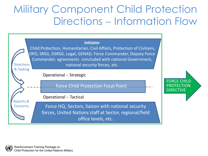#### Military Component Child Protection Directions − Information Flow



Child Protection, Humanitarian, Civil Affairs, Protection of Civilians, DPO, SRSG, DSRSG, Legal, GENAD, Force Commander, Deputy Force Commander, agreements concluded with national Government, national security forces, etc. **Directions** 

Operational – Strategic

Force Child Protection Focal Point

Operational – Tactical

Force HQ, Sectors, liaison with national security forces, United Nations staff at Sector, regional/field office levels, etc.



& Tasking

Reports & Concerns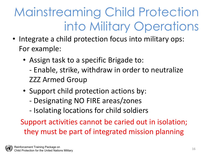## Mainstreaming Child Protection into Military Operations

- Integrate a child protection focus into military ops: For example:
	- Assign task to a specific Brigade to: - Enable, strike, withdraw in order to neutralize ZZZ Armed Group
	- Support child protection actions by:
		- Designating NO FIRE areas/zones
		- Isolating locations for child soldiers

Support activities cannot be caried out in isolation; they must be part of integrated mission planning

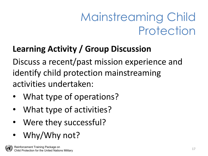### Mainstreaming Child Protection

#### **Learning Activity / Group Discussion**

Discuss a recent/past mission experience and identify child protection mainstreaming activities undertaken:

- What type of operations?
- What type of activities?
- Were they successful?
- Why/Why not?

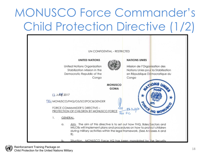### MONUSCO Force Commander's Child Protection Directive (1/2)



Reinforcement Training Package on Child Protection for the United Nations Military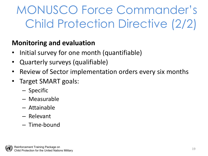### MONUSCO Force Commander's Child Protection Directive (2/2)

#### **Monitoring and evaluation**

- Initial survey for one month (quantifiable)
- Quarterly surveys (qualifiable)
- Review of Sector implementation orders every six months
- Target SMART goals:
	- Specific
	- Measurable
	- Attainable
	- Relevant
	- Time-bound

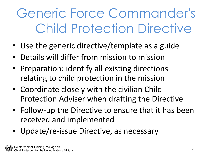# Generic Force Commander's Child Protection Directive

- Use the generic directive/template as a guide
- Details will differ from mission to mission
- Preparation: identify all existing directions relating to child protection in the mission
- Coordinate closely with the civilian Child Protection Adviser when drafting the Directive
- Follow-up the Directive to ensure that it has been received and implemented
- Update/re-issue Directive, as necessary

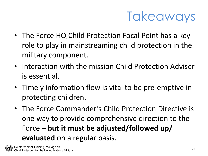

- The Force HQ Child Protection Focal Point has a key role to play in mainstreaming child protection in the military component.
- Interaction with the mission Child Protection Adviser is essential.
- Timely information flow is vital to be pre-emptive in protecting children.
- The Force Commander's Child Protection Directive is one way to provide comprehensive direction to the Force – **but it must be adjusted/followed up/ evaluated** on a regular basis.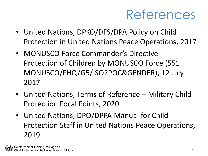### References

- United Nations, DPKO/DFS/DPA Policy on Child Protection in United Nations Peace Operations, 2017
- MONUSCO Force Commander's Directive − Protection of Children by MONUSCO Force (551 MONUSCO/FHQ/G5/ SO2POC&GENDER), 12 July 2017
- United Nations, Terms of Reference Military Child Protection Focal Points, 2020
- United Nations, DPO/DPPA Manual for Child Protection Staff in United Nations Peace Operations, 2019